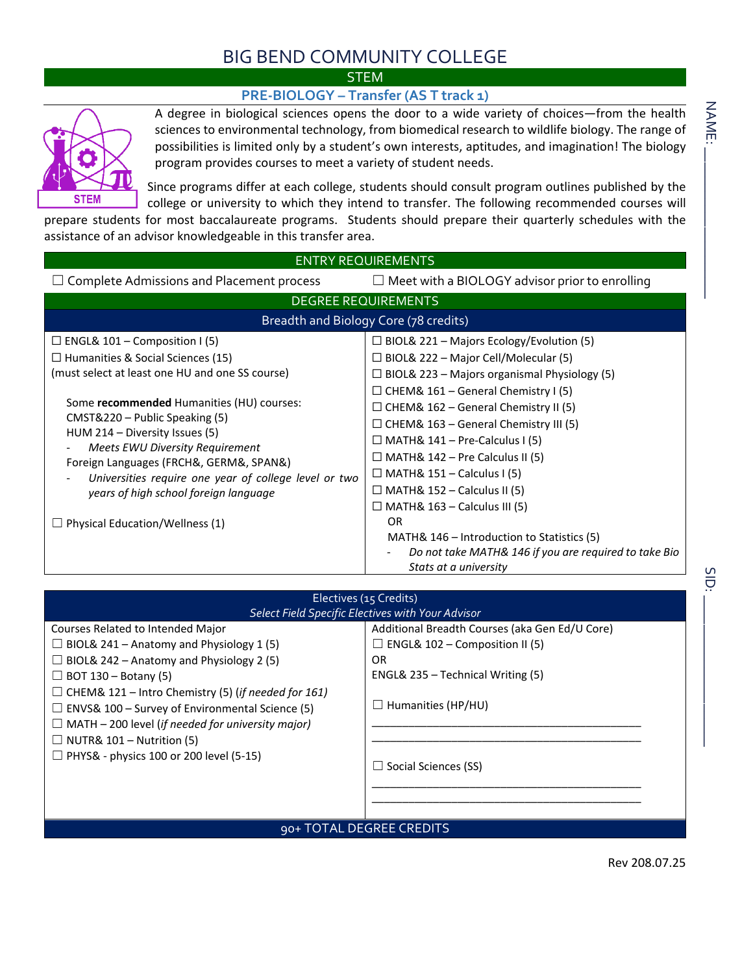## BIG BEND COMMUNITY COLLEGE

## **STEM**

## **PRE-BIOLOGY – Transfer (AS T track 1)**



A degree in biological sciences opens the door to a wide variety of choices—from the health sciences to environmental technology, from biomedical research to wildlife biology. The range of possibilities is limited only by a student's own interests, aptitudes, and imagination! The biology program provides courses to meet a variety of student needs.

Since programs differ at each college, students should consult program outlines published by the college or university to which they intend to transfer. The following recommended courses will

prepare students for most baccalaureate programs. Students should prepare their quarterly schedules with the assistance of an advisor knowledgeable in this transfer area.

| <b>ENTRY REQUIREMENTS</b>                             |                                                       |  |  |  |  |  |  |
|-------------------------------------------------------|-------------------------------------------------------|--|--|--|--|--|--|
| $\Box$ Complete Admissions and Placement process      | $\Box$ Meet with a BIOLOGY advisor prior to enrolling |  |  |  |  |  |  |
|                                                       | <b>DEGREE REQUIREMENTS</b>                            |  |  |  |  |  |  |
| Breadth and Biology Core (78 credits)                 |                                                       |  |  |  |  |  |  |
| $\Box$ ENGL& 101 – Composition I (5)                  | $\Box$ BIOL& 221 – Majors Ecology/Evolution (5)       |  |  |  |  |  |  |
| $\Box$ Humanities & Social Sciences (15)              | $\Box$ BIOL& 222 – Major Cell/Molecular (5)           |  |  |  |  |  |  |
| (must select at least one HU and one SS course)       | $\Box$ BIOL& 223 – Majors organismal Physiology (5)   |  |  |  |  |  |  |
| Some recommended Humanities (HU) courses:             | $\Box$ CHEM& 161 – General Chemistry I (5)            |  |  |  |  |  |  |
| CMST&220 - Public Speaking (5)                        | $\Box$ CHEM& 162 – General Chemistry II (5)           |  |  |  |  |  |  |
| HUM 214 – Diversity Issues (5)                        | $\Box$ CHEM& 163 – General Chemistry III (5)          |  |  |  |  |  |  |
| Meets EWU Diversity Requirement                       | $\Box$ MATH& 141 – Pre-Calculus I (5)                 |  |  |  |  |  |  |
| Foreign Languages (FRCH&, GERM&, SPAN&)               | $\Box$ MATH& 142 – Pre Calculus II (5)                |  |  |  |  |  |  |
| Universities require one year of college level or two | $\Box$ MATH& 151 – Calculus I (5)                     |  |  |  |  |  |  |
| years of high school foreign language                 | $\Box$ MATH& 152 – Calculus II (5)                    |  |  |  |  |  |  |
|                                                       | $\Box$ MATH& 163 – Calculus III (5)                   |  |  |  |  |  |  |
| Physical Education/Wellness (1)                       | OR.                                                   |  |  |  |  |  |  |
|                                                       | MATH& 146 – Introduction to Statistics (5)            |  |  |  |  |  |  |
|                                                       | Do not take MATH& 146 if you are required to take Bio |  |  |  |  |  |  |
|                                                       | Stats at a university                                 |  |  |  |  |  |  |

| Electives (15 Credits)<br>Select Field Specific Electives with Your Advisor                                                                                                                                                                                                                                                                                                                                                                      |                                                                                                                                                                                                |  |  |  |  |
|--------------------------------------------------------------------------------------------------------------------------------------------------------------------------------------------------------------------------------------------------------------------------------------------------------------------------------------------------------------------------------------------------------------------------------------------------|------------------------------------------------------------------------------------------------------------------------------------------------------------------------------------------------|--|--|--|--|
| Courses Related to Intended Major<br>$\Box$ BIOL& 241 – Anatomy and Physiology 1 (5)<br>$\Box$ BIOL& 242 – Anatomy and Physiology 2 (5)<br>$\Box$ BOT 130 – Botany (5)<br>$\Box$ CHEM& 121 – Intro Chemistry (5) (if needed for 161)<br>$\Box$ ENVS& 100 – Survey of Environmental Science (5)<br>$\Box$ MATH – 200 level (if needed for university major)<br>$\Box$ NUTR& 101 – Nutrition (5)<br>$\Box$ PHYS& - physics 100 or 200 level (5-15) | Additional Breadth Courses (aka Gen Ed/U Core)<br>$\Box$ ENGL& 102 – Composition II (5)<br>OR<br>ENGL& 235 – Technical Writing (5)<br>$\Box$ Humanities (HP/HU)<br>$\Box$ Social Sciences (SS) |  |  |  |  |
| 90+ TOTAL DEGREE CREDITS                                                                                                                                                                                                                                                                                                                                                                                                                         |                                                                                                                                                                                                |  |  |  |  |

Rev 208.07.25

SID:<br>Cip:<br>Cip:

 $rac{1}{\sqrt{1}}$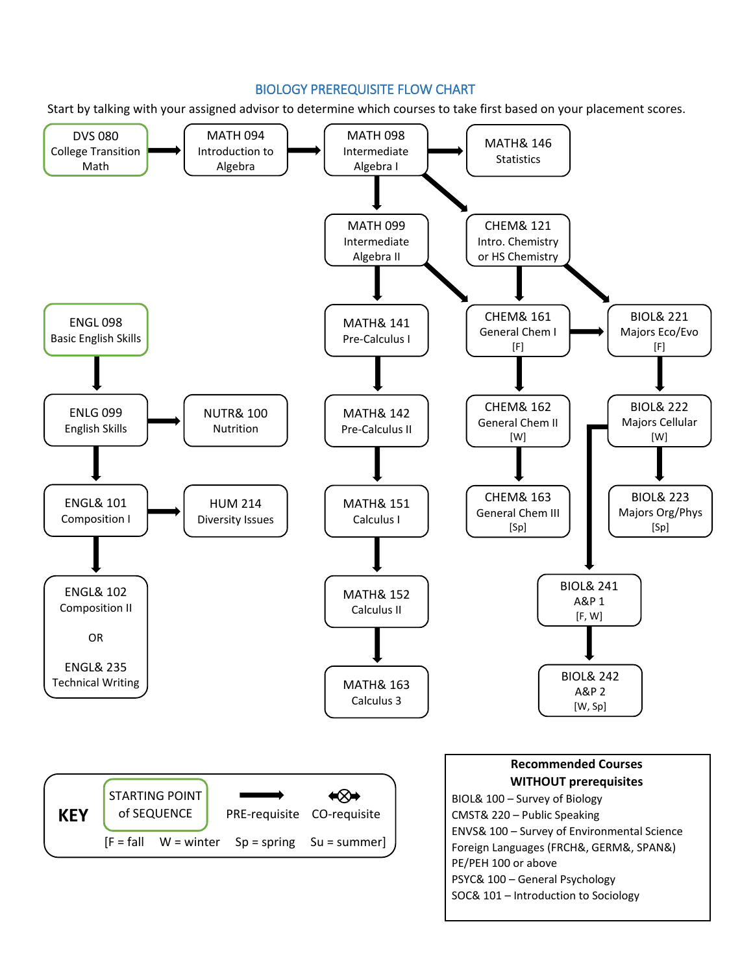## BIOLOGY PREREQUISITE FLOW CHART

Start by talking with your assigned advisor to determine which courses to take first based on your placement scores.

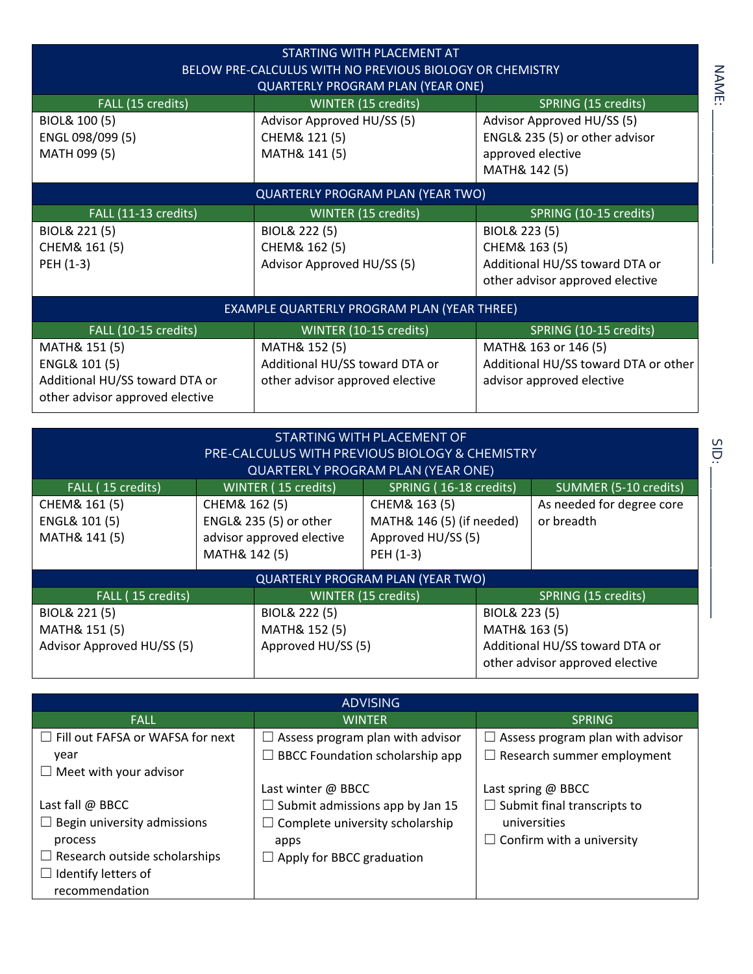| STARTING WITH PLACEMENT AT<br>BELOW PRE-CALCULUS WITH NO PREVIOUS BIOLOGY OR CHEMISTRY<br><b>QUARTERLY PROGRAM PLAN (YEAR ONE)</b> |                                                 |                                      |  |  |  |  |  |  |
|------------------------------------------------------------------------------------------------------------------------------------|-------------------------------------------------|--------------------------------------|--|--|--|--|--|--|
| FALL (15 credits)                                                                                                                  | WINTER (15 credits)                             | SPRING (15 credits)                  |  |  |  |  |  |  |
| BIOL& 100 (5)                                                                                                                      | Advisor Approved HU/SS (5)                      | Advisor Approved HU/SS (5)           |  |  |  |  |  |  |
| ENGL 098/099 (5)                                                                                                                   | CHEM& 121 (5)<br>ENGL& 235 (5) or other advisor |                                      |  |  |  |  |  |  |
| MATH 099 (5)                                                                                                                       | MATH& 141 (5)                                   | approved elective                    |  |  |  |  |  |  |
|                                                                                                                                    |                                                 | MATH& 142 (5)                        |  |  |  |  |  |  |
| QUARTERLY PROGRAM PLAN (YEAR TWO)                                                                                                  |                                                 |                                      |  |  |  |  |  |  |
| FALL (11-13 credits)                                                                                                               | WINTER (15 credits)                             | SPRING (10-15 credits)               |  |  |  |  |  |  |
| BIOL& 221 (5)                                                                                                                      | BIOL& 222 (5)                                   | BIOL& 223 (5)                        |  |  |  |  |  |  |
| CHEM& 161 (5)                                                                                                                      | CHEM& 162 (5)                                   | CHEM& 163 (5)                        |  |  |  |  |  |  |
| PEH (1-3)                                                                                                                          | Advisor Approved HU/SS (5)                      | Additional HU/SS toward DTA or       |  |  |  |  |  |  |
|                                                                                                                                    |                                                 | other advisor approved elective      |  |  |  |  |  |  |
| EXAMPLE QUARTERLY PROGRAM PLAN (YEAR THREE)                                                                                        |                                                 |                                      |  |  |  |  |  |  |
| FALL (10-15 credits)                                                                                                               | WINTER (10-15 credits)                          | SPRING (10-15 credits)               |  |  |  |  |  |  |
| MATH& 151 (5)                                                                                                                      | MATH& 152 (5)                                   | MATH& 163 or 146 (5)                 |  |  |  |  |  |  |
| ENGL& 101 (5)                                                                                                                      | Additional HU/SS toward DTA or                  | Additional HU/SS toward DTA or other |  |  |  |  |  |  |
| Additional HU/SS toward DTA or                                                                                                     | other advisor approved elective                 | advisor approved elective            |  |  |  |  |  |  |
| other advisor approved elective                                                                                                    |                                                 |                                      |  |  |  |  |  |  |

| STARTING WITH PLACEMENT OF<br><b>PRE-CALCULUS WITH PREVIOUS BIOLOGY &amp; CHEMISTRY</b><br><b>QUARTERLY PROGRAM PLAN (YEAR ONE)</b> |                                                                                       |                            |                                                                                                     |  |                                         |  |  |  |
|-------------------------------------------------------------------------------------------------------------------------------------|---------------------------------------------------------------------------------------|----------------------------|-----------------------------------------------------------------------------------------------------|--|-----------------------------------------|--|--|--|
| FALL (15 credits)                                                                                                                   |                                                                                       | <b>WINTER (15 credits)</b> | SPRING (16-18 credits)                                                                              |  | SUMMER (5-10 credits)                   |  |  |  |
| CHEM& 161 (5)<br>ENGL& 101 (5)<br>MATH& 141 (5)                                                                                     | CHEM& 162 (5)<br>ENGL& 235 (5) or other<br>advisor approved elective<br>MATH& 142 (5) |                            | CHEM& 163 (5)<br>MATH& 146 (5) (if needed)<br>Approved HU/SS (5)<br>PEH (1-3)                       |  | As needed for degree core<br>or breadth |  |  |  |
| QUARTERLY PROGRAM PLAN (YEAR TWO)                                                                                                   |                                                                                       |                            |                                                                                                     |  |                                         |  |  |  |
| FALL (15 credits)                                                                                                                   |                                                                                       |                            | WINTER (15 credits)                                                                                 |  | SPRING (15 credits)                     |  |  |  |
| BIOL& 221 (5)<br>MATH& 151 (5)<br>Advisor Approved HU/SS (5)                                                                        | BIOL& 222 (5)<br>MATH& 152 (5)<br>Approved HU/SS (5)                                  |                            | BIOL& 223 (5)<br>MATH& 163 (5)<br>Additional HU/SS toward DTA or<br>other advisor approved elective |  |                                         |  |  |  |

ADVISING FALL WINTER SPRING ☐ Fill out FAFSA or WAFSA for next year  $\Box$  Meet with your advisor Last fall @ BBCC  $\Box$  Begin university admissions process  $\Box$  Research outside scholarships ☐ Identify letters of recommendation  $\Box$  Assess program plan with advisor  $\Box$  BBCC Foundation scholarship app Last winter @ BBCC  $\Box$  Submit admissions app by Jan 15  $\Box$  Complete university scholarship apps  $\Box$  Apply for BBCC graduation  $\Box$  Assess program plan with advisor ☐ Research summer employment Last spring @ BBCC  $\Box$  Submit final transcripts to universities  $\Box$  Confirm with a university

\_\_\_\_\_\_\_\_\_\_\_\_\_\_\_\_\_\_\_\_\_

NAME: \_\_\_\_\_\_\_\_\_\_\_\_\_\_\_\_\_\_\_\_\_

NAME: